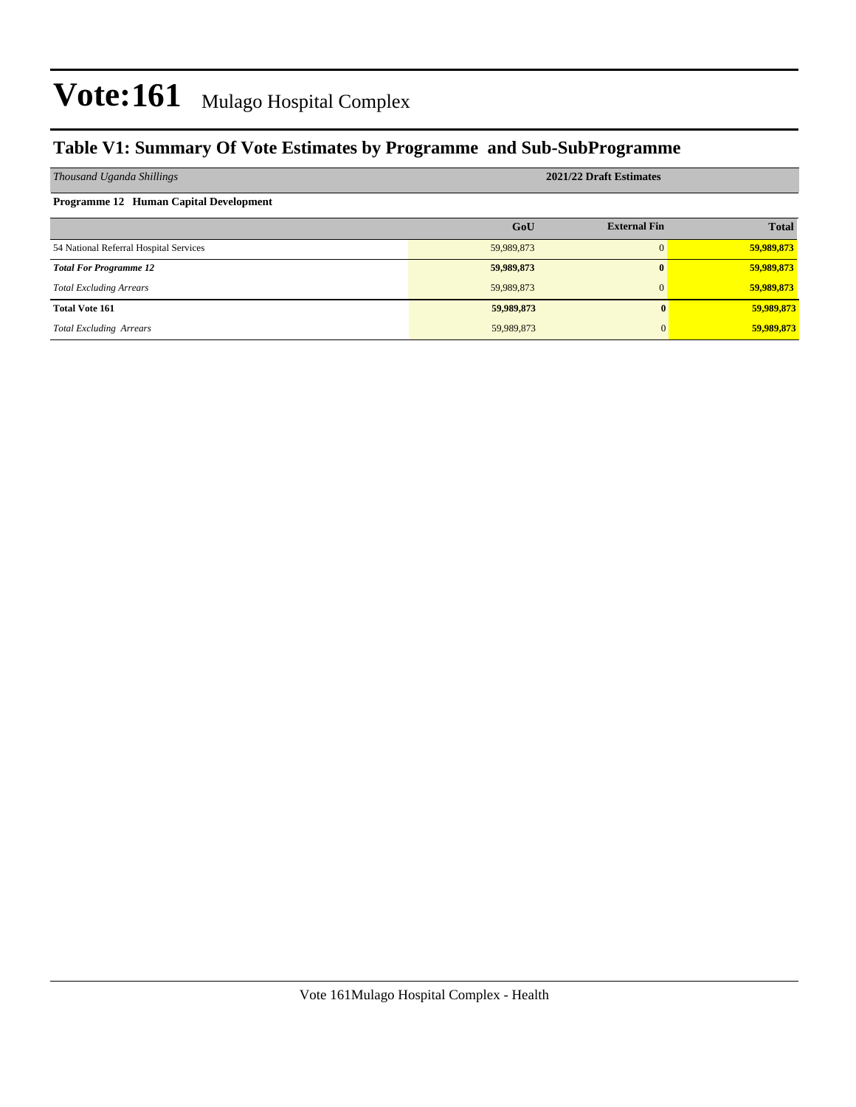### **Table V1: Summary Of Vote Estimates by Programme and Sub-SubProgramme**

| Thousand Uganda Shillings              | 2021/22 Draft Estimates |                     |              |  |  |  |  |  |
|----------------------------------------|-------------------------|---------------------|--------------|--|--|--|--|--|
| Programme 12 Human Capital Development |                         |                     |              |  |  |  |  |  |
|                                        | GoU                     | <b>External Fin</b> | <b>Total</b> |  |  |  |  |  |
| 54 National Referral Hospital Services | 59,989,873              | 0                   | 59,989,873   |  |  |  |  |  |
| <b>Total For Programme 12</b>          | 59,989,873              | $\bf{0}$            | 59,989,873   |  |  |  |  |  |
| <b>Total Excluding Arrears</b>         | 59,989,873              | $\Omega$            | 59,989,873   |  |  |  |  |  |
| <b>Total Vote 161</b>                  | 59,989,873              |                     | 59,989,873   |  |  |  |  |  |
| <b>Total Excluding Arrears</b>         | 59,989,873              |                     | 59,989,873   |  |  |  |  |  |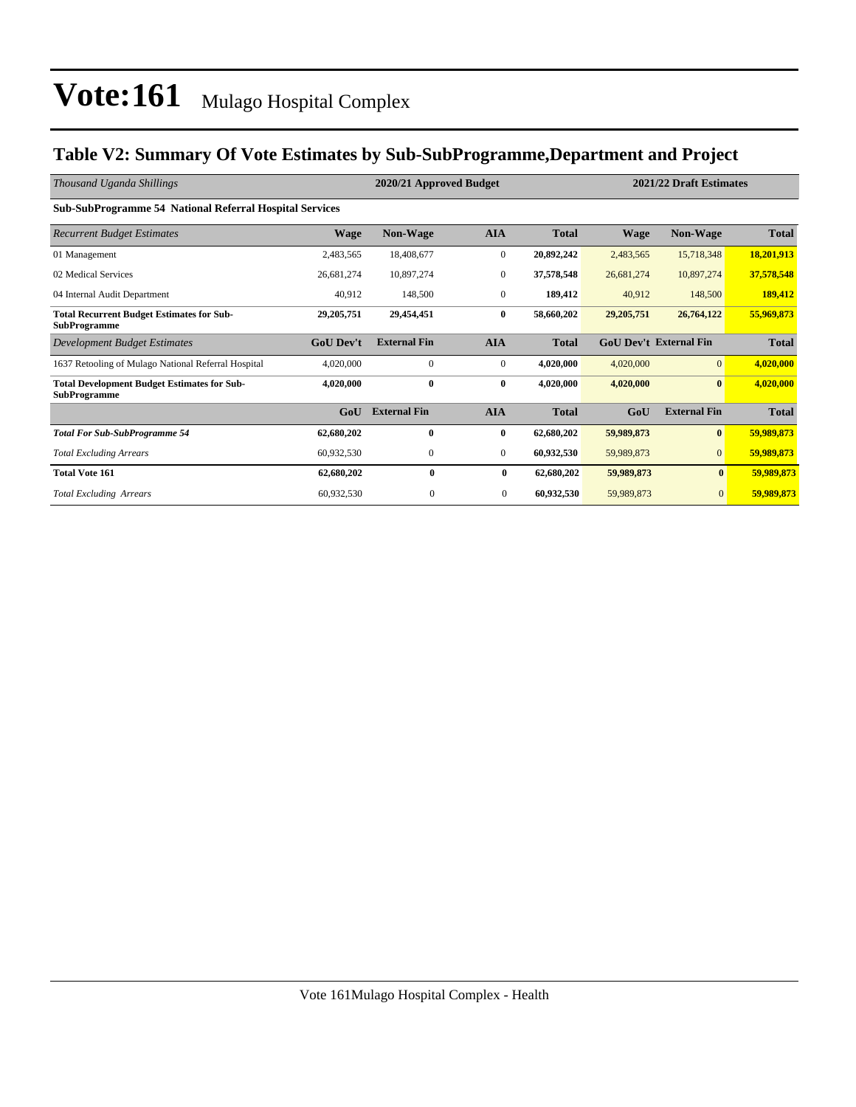### **Table V2: Summary Of Vote Estimates by Sub-SubProgramme,Department and Project**

| Thousand Uganda Shillings                                                 |                  | 2020/21 Approved Budget |                |              | 2021/22 Draft Estimates |                               |              |  |
|---------------------------------------------------------------------------|------------------|-------------------------|----------------|--------------|-------------------------|-------------------------------|--------------|--|
| <b>Sub-SubProgramme 54 National Referral Hospital Services</b>            |                  |                         |                |              |                         |                               |              |  |
| <b>Recurrent Budget Estimates</b>                                         | <b>Wage</b>      | <b>Non-Wage</b>         | <b>AIA</b>     | <b>Total</b> | <b>Wage</b>             | <b>Non-Wage</b>               | <b>Total</b> |  |
| 01 Management                                                             | 2,483,565        | 18,408,677              | $\mathbf{0}$   | 20,892,242   | 2,483,565               | 15,718,348                    | 18,201,913   |  |
| 02 Medical Services                                                       | 26,681,274       | 10,897,274              | $\mathbf{0}$   | 37,578,548   | 26,681,274              | 10,897,274                    | 37,578,548   |  |
| 04 Internal Audit Department                                              | 40,912           | 148,500                 | $\mathbf{0}$   | 189,412      | 40,912                  | 148,500                       | 189,412      |  |
| <b>Total Recurrent Budget Estimates for Sub-</b><br><b>SubProgramme</b>   | 29, 205, 751     | 29,454,451              | $\bf{0}$       | 58,660,202   | 29, 205, 751            | 26,764,122                    | 55,969,873   |  |
| Development Budget Estimates                                              | <b>GoU Dev't</b> | <b>External Fin</b>     | <b>AIA</b>     | <b>Total</b> |                         | <b>GoU Dev't External Fin</b> | <b>Total</b> |  |
| 1637 Retooling of Mulago National Referral Hospital                       | 4,020,000        | $\mathbf{0}$            | $\mathbf{0}$   | 4,020,000    | 4,020,000               | $\overline{0}$                | 4,020,000    |  |
| <b>Total Development Budget Estimates for Sub-</b><br><b>SubProgramme</b> | 4,020,000        | $\bf{0}$                | $\bf{0}$       | 4,020,000    | 4,020,000               | $\mathbf{0}$                  | 4,020,000    |  |
|                                                                           | GoU              | <b>External Fin</b>     | <b>AIA</b>     | <b>Total</b> | GoU                     | <b>External Fin</b>           | <b>Total</b> |  |
| <b>Total For Sub-SubProgramme 54</b>                                      | 62,680,202       | 0                       | $\bf{0}$       | 62,680,202   | 59,989,873              | $\bf{0}$                      | 59,989,873   |  |
| <b>Total Excluding Arrears</b>                                            | 60,932,530       | $\mathbf{0}$            | $\mathbf{0}$   | 60,932,530   | 59,989,873              | $\overline{0}$                | 59,989,873   |  |
| <b>Total Vote 161</b>                                                     | 62,680,202       | $\bf{0}$                | $\bf{0}$       | 62,680,202   | 59,989,873              | $\bf{0}$                      | 59,989,873   |  |
| <b>Total Excluding Arrears</b>                                            | 60,932,530       | $\mathbf{0}$            | $\overline{0}$ | 60,932,530   | 59,989,873              | $\mathbf{0}$                  | 59,989,873   |  |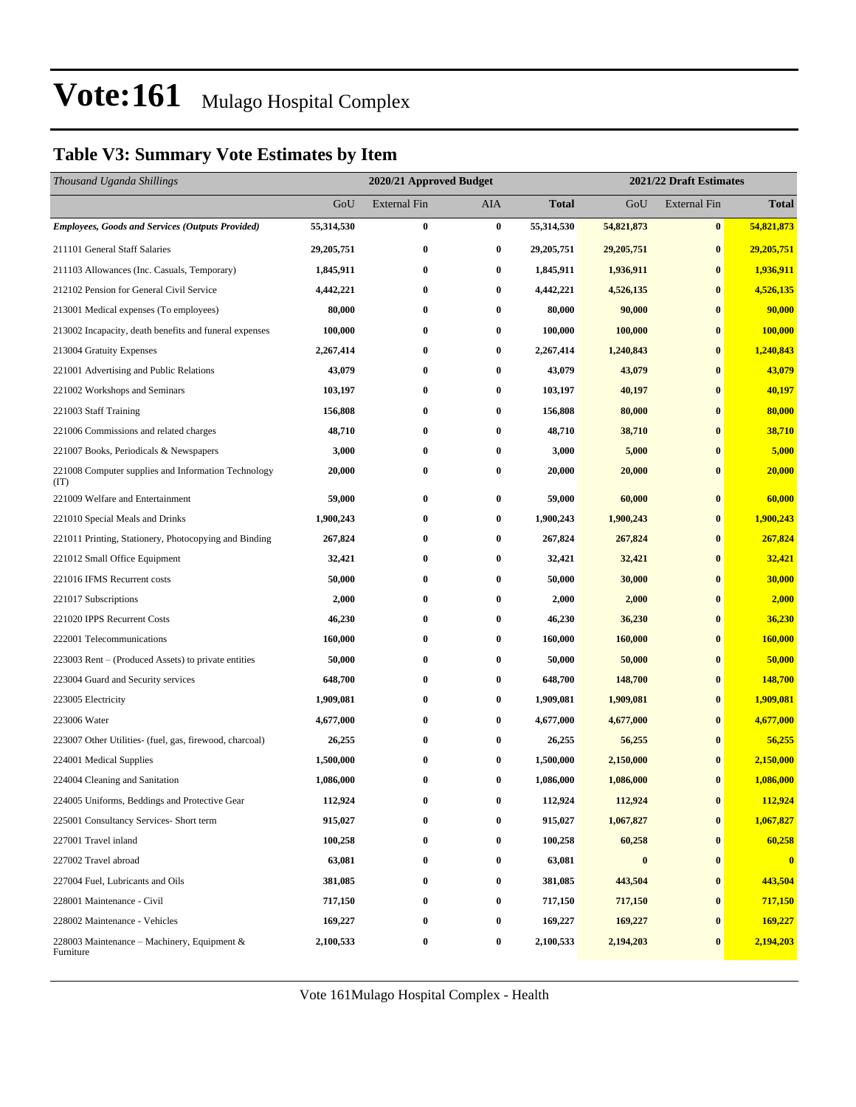### **Table V3: Summary Vote Estimates by Item**

| Thousand Uganda Shillings                                   |              | 2020/21 Approved Budget |          |              | 2021/22 Draft Estimates |                     |              |  |
|-------------------------------------------------------------|--------------|-------------------------|----------|--------------|-------------------------|---------------------|--------------|--|
|                                                             | GoU          | <b>External Fin</b>     | AIA      | <b>Total</b> | GoU                     | <b>External Fin</b> | <b>Total</b> |  |
| <b>Employees, Goods and Services (Outputs Provided)</b>     | 55,314,530   | $\bf{0}$                | $\bf{0}$ | 55,314,530   | 54,821,873              | $\bf{0}$            | 54,821,873   |  |
| 211101 General Staff Salaries                               | 29, 205, 751 | $\bf{0}$                | 0        | 29,205,751   | 29, 205, 751            | $\bf{0}$            | 29,205,751   |  |
| 211103 Allowances (Inc. Casuals, Temporary)                 | 1,845,911    | $\bf{0}$                | $\bf{0}$ | 1,845,911    | 1,936,911               | $\bf{0}$            | 1,936,911    |  |
| 212102 Pension for General Civil Service                    | 4,442,221    | $\bf{0}$                | 0        | 4,442,221    | 4,526,135               | $\bf{0}$            | 4,526,135    |  |
| 213001 Medical expenses (To employees)                      | 80,000       | $\bf{0}$                | 0        | 80,000       | 90,000                  | $\bf{0}$            | 90,000       |  |
| 213002 Incapacity, death benefits and funeral expenses      | 100,000      | $\bf{0}$                | 0        | 100,000      | 100,000                 | $\bf{0}$            | 100,000      |  |
| 213004 Gratuity Expenses                                    | 2,267,414    | $\bf{0}$                | 0        | 2,267,414    | 1,240,843               | $\bf{0}$            | 1,240,843    |  |
| 221001 Advertising and Public Relations                     | 43,079       | $\bf{0}$                | $\bf{0}$ | 43,079       | 43,079                  | $\bf{0}$            | 43,079       |  |
| 221002 Workshops and Seminars                               | 103,197      | $\bf{0}$                | 0        | 103,197      | 40,197                  | $\bf{0}$            | 40,197       |  |
| 221003 Staff Training                                       | 156,808      | $\bf{0}$                | 0        | 156,808      | 80,000                  | $\bf{0}$            | 80,000       |  |
| 221006 Commissions and related charges                      | 48,710       | $\bf{0}$                | 0        | 48,710       | 38,710                  | $\bf{0}$            | 38,710       |  |
| 221007 Books, Periodicals & Newspapers                      | 3,000        | $\bf{0}$                | 0        | 3,000        | 5,000                   | $\bf{0}$            | 5,000        |  |
| 221008 Computer supplies and Information Technology<br>(TT) | 20,000       | $\bf{0}$                | 0        | 20,000       | 20,000                  | $\bf{0}$            | 20,000       |  |
| 221009 Welfare and Entertainment                            | 59,000       | $\bf{0}$                | 0        | 59,000       | 60,000                  | $\bf{0}$            | 60,000       |  |
| 221010 Special Meals and Drinks                             | 1,900,243    | $\bf{0}$                | 0        | 1,900,243    | 1,900,243               | $\bf{0}$            | 1,900,243    |  |
| 221011 Printing, Stationery, Photocopying and Binding       | 267,824      | $\bf{0}$                | 0        | 267,824      | 267,824                 | $\bf{0}$            | 267,824      |  |
| 221012 Small Office Equipment                               | 32,421       | $\bf{0}$                | 0        | 32,421       | 32,421                  | $\bf{0}$            | 32,421       |  |
| 221016 IFMS Recurrent costs                                 | 50,000       | $\bf{0}$                | 0        | 50,000       | 30,000                  | $\bf{0}$            | 30,000       |  |
| 221017 Subscriptions                                        | 2,000        | $\bf{0}$                | 0        | 2,000        | 2,000                   | $\bf{0}$            | 2,000        |  |
| 221020 IPPS Recurrent Costs                                 | 46,230       | $\bf{0}$                | 0        | 46,230       | 36,230                  | $\bf{0}$            | 36,230       |  |
| 222001 Telecommunications                                   | 160,000      | $\bf{0}$                | 0        | 160,000      | 160,000                 | $\bf{0}$            | 160,000      |  |
| 223003 Rent – (Produced Assets) to private entities         | 50,000       | $\bf{0}$                | 0        | 50,000       | 50,000                  | $\bf{0}$            | 50,000       |  |
| 223004 Guard and Security services                          | 648,700      | $\bf{0}$                | 0        | 648,700      | 148,700                 | $\bf{0}$            | 148,700      |  |
| 223005 Electricity                                          | 1,909,081    | $\bf{0}$                | 0        | 1,909,081    | 1,909,081               | $\bf{0}$            | 1,909,081    |  |
| 223006 Water                                                | 4,677,000    | $\bf{0}$                | 0        | 4,677,000    | 4,677,000               | $\bf{0}$            | 4,677,000    |  |
| 223007 Other Utilities- (fuel, gas, firewood, charcoal)     | 26,255       | $\bf{0}$                | 0        | 26,255       | 56,255                  | $\bf{0}$            | 56,255       |  |
| 224001 Medical Supplies                                     | 1,500,000    | $\bf{0}$                | 0        | 1,500,000    | 2,150,000               | $\bf{0}$            | 2,150,000    |  |
| 224004 Cleaning and Sanitation                              | 1,086,000    | $\bf{0}$                | 0        | 1,086,000    | 1,086,000               | $\bf{0}$            | 1,086,000    |  |
| 224005 Uniforms, Beddings and Protective Gear               | 112,924      | 0                       | 0        | 112,924      | 112,924                 | $\bf{0}$            | 112,924      |  |
| 225001 Consultancy Services- Short term                     | 915,027      | 0                       | $\bf{0}$ | 915,027      | 1,067,827               | $\bf{0}$            | 1,067,827    |  |
| 227001 Travel inland                                        | 100,258      | $\bf{0}$                | 0        | 100,258      | 60,258                  | $\bf{0}$            | 60,258       |  |
| 227002 Travel abroad                                        | 63,081       | $\bf{0}$                | 0        | 63,081       | $\bf{0}$                | $\bf{0}$            | $\bf{0}$     |  |
| 227004 Fuel, Lubricants and Oils                            | 381,085      | $\bf{0}$                | $\bf{0}$ | 381,085      | 443,504                 | $\bf{0}$            | 443,504      |  |
| 228001 Maintenance - Civil                                  | 717,150      | $\bf{0}$                | 0        | 717,150      | 717,150                 | $\bf{0}$            | 717,150      |  |
| 228002 Maintenance - Vehicles                               | 169,227      | $\bf{0}$                | 0        | 169,227      | 169,227                 | $\bf{0}$            | 169,227      |  |
| 228003 Maintenance - Machinery, Equipment &<br>Furniture    | 2,100,533    | $\bf{0}$                | $\bf{0}$ | 2,100,533    | 2,194,203               | $\bf{0}$            | 2,194,203    |  |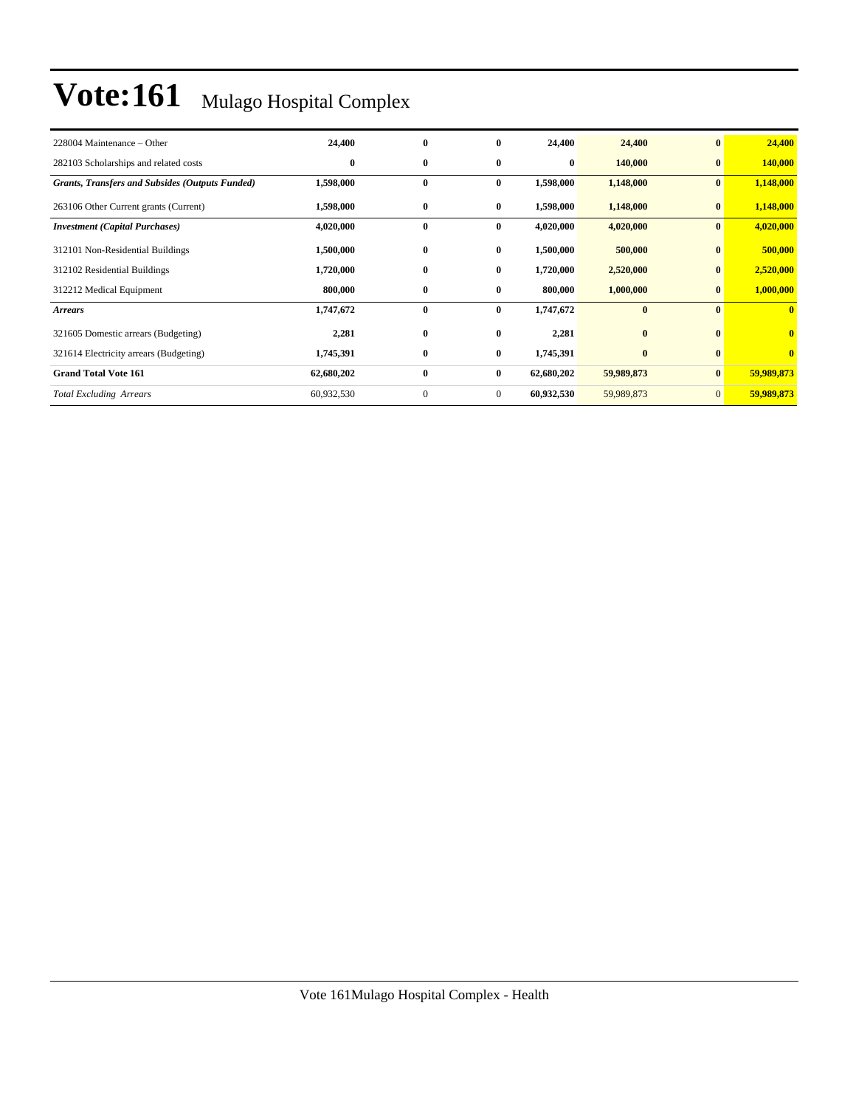| 228004 Maintenance – Other                             | 24,400     | $\bf{0}$     | $\mathbf{0}$ | 24,400     | 24,400     | $\bf{0}$       | 24,400                  |
|--------------------------------------------------------|------------|--------------|--------------|------------|------------|----------------|-------------------------|
| 282103 Scholarships and related costs                  | $\bf{0}$   | $\bf{0}$     | $\bf{0}$     | 0          | 140,000    | $\mathbf{0}$   | 140,000                 |
| <b>Grants, Transfers and Subsides (Outputs Funded)</b> | 1,598,000  | $\bf{0}$     | $\bf{0}$     | 1,598,000  | 1,148,000  | $\bf{0}$       | 1,148,000               |
| 263106 Other Current grants (Current)                  | 1,598,000  | $\bf{0}$     | $\bf{0}$     | 1,598,000  | 1,148,000  | $\bf{0}$       | 1,148,000               |
| <b>Investment</b> (Capital Purchases)                  | 4,020,000  | $\bf{0}$     | $\bf{0}$     | 4,020,000  | 4,020,000  | $\bf{0}$       | 4,020,000               |
| 312101 Non-Residential Buildings                       | 1,500,000  | $\bf{0}$     | $\bf{0}$     | 1,500,000  | 500,000    | $\mathbf{0}$   | 500,000                 |
| 312102 Residential Buildings                           | 1,720,000  | $\bf{0}$     | $\bf{0}$     | 1,720,000  | 2,520,000  | $\bf{0}$       | 2,520,000               |
| 312212 Medical Equipment                               | 800,000    | $\bf{0}$     | $\bf{0}$     | 800,000    | 1,000,000  | $\bf{0}$       | 1,000,000               |
| <b>Arrears</b>                                         | 1,747,672  | $\bf{0}$     | $\bf{0}$     | 1,747,672  | $\bf{0}$   | $\mathbf{0}$   | $\mathbf{0}$            |
| 321605 Domestic arrears (Budgeting)                    | 2,281      | $\bf{0}$     | $\bf{0}$     | 2,281      | $\bf{0}$   | $\mathbf{0}$   | $\overline{\mathbf{0}}$ |
| 321614 Electricity arrears (Budgeting)                 | 1,745,391  | $\bf{0}$     | $\bf{0}$     | 1,745,391  | $\bf{0}$   | $\mathbf{0}$   | $\bf{0}$                |
| <b>Grand Total Vote 161</b>                            | 62,680,202 | $\bf{0}$     | $\bf{0}$     | 62,680,202 | 59,989,873 | $\bf{0}$       | 59,989,873              |
| <b>Total Excluding Arrears</b>                         | 60,932,530 | $\mathbf{0}$ | $\mathbf{0}$ | 60,932,530 | 59,989,873 | $\overline{0}$ | 59,989,873              |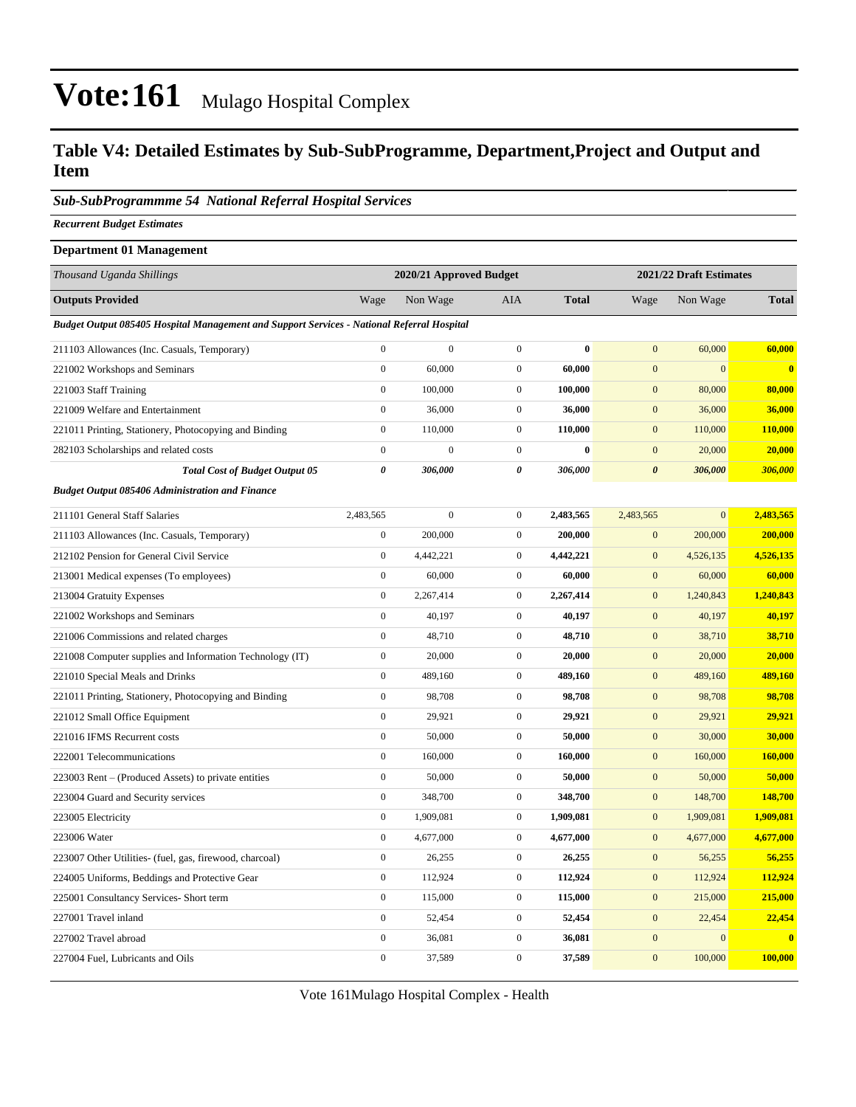### **Table V4: Detailed Estimates by Sub-SubProgramme, Department,Project and Output and Item**

#### *Sub-SubProgrammme 54 National Referral Hospital Services*

*Recurrent Budget Estimates*

| <b>Department 01 Management</b>                                                            |                  |                         |                  |              |                  |                         |              |
|--------------------------------------------------------------------------------------------|------------------|-------------------------|------------------|--------------|------------------|-------------------------|--------------|
| Thousand Uganda Shillings                                                                  |                  | 2020/21 Approved Budget |                  |              |                  | 2021/22 Draft Estimates |              |
| <b>Outputs Provided</b>                                                                    | Wage             | Non Wage                | AIA              | <b>Total</b> | Wage             | Non Wage                | <b>Total</b> |
| Budget Output 085405 Hospital Management and Support Services - National Referral Hospital |                  |                         |                  |              |                  |                         |              |
| 211103 Allowances (Inc. Casuals, Temporary)                                                | $\boldsymbol{0}$ | $\boldsymbol{0}$        | $\boldsymbol{0}$ | $\bf{0}$     | $\boldsymbol{0}$ | 60,000                  | 60,000       |
| 221002 Workshops and Seminars                                                              | $\boldsymbol{0}$ | 60,000                  | $\boldsymbol{0}$ | 60,000       | $\mathbf{0}$     | $\mathbf{0}$            | $\bf{0}$     |
| 221003 Staff Training                                                                      | $\boldsymbol{0}$ | 100,000                 | $\mathbf{0}$     | 100,000      | $\boldsymbol{0}$ | 80,000                  | 80,000       |
| 221009 Welfare and Entertainment                                                           | $\boldsymbol{0}$ | 36,000                  | $\boldsymbol{0}$ | 36,000       | $\mathbf{0}$     | 36,000                  | 36,000       |
| 221011 Printing, Stationery, Photocopying and Binding                                      | $\boldsymbol{0}$ | 110,000                 | $\mathbf{0}$     | 110,000      | $\mathbf{0}$     | 110,000                 | 110,000      |
| 282103 Scholarships and related costs                                                      | $\boldsymbol{0}$ | $\mathbf{0}$            | $\boldsymbol{0}$ | $\bf{0}$     | $\mathbf{0}$     | 20,000                  | 20,000       |
| <b>Total Cost of Budget Output 05</b>                                                      | $\pmb{\theta}$   | 306,000                 | $\pmb{\theta}$   | 306,000      | $\pmb{\theta}$   | 306,000                 | 306,000      |
| <b>Budget Output 085406 Administration and Finance</b>                                     |                  |                         |                  |              |                  |                         |              |
| 211101 General Staff Salaries                                                              | 2,483,565        | $\boldsymbol{0}$        | $\boldsymbol{0}$ | 2,483,565    | 2,483,565        | $\mathbf{0}$            | 2,483,565    |
| 211103 Allowances (Inc. Casuals, Temporary)                                                | $\boldsymbol{0}$ | 200,000                 | $\boldsymbol{0}$ | 200,000      | $\boldsymbol{0}$ | 200,000                 | 200,000      |
| 212102 Pension for General Civil Service                                                   | $\boldsymbol{0}$ | 4,442,221               | $\boldsymbol{0}$ | 4,442,221    | $\mathbf{0}$     | 4,526,135               | 4,526,135    |
| 213001 Medical expenses (To employees)                                                     | $\boldsymbol{0}$ | 60,000                  | $\overline{0}$   | 60,000       | $\boldsymbol{0}$ | 60,000                  | 60,000       |
| 213004 Gratuity Expenses                                                                   | $\boldsymbol{0}$ | 2,267,414               | $\boldsymbol{0}$ | 2,267,414    | $\mathbf{0}$     | 1,240,843               | 1,240,843    |
| 221002 Workshops and Seminars                                                              | $\boldsymbol{0}$ | 40,197                  | $\boldsymbol{0}$ | 40,197       | $\mathbf{0}$     | 40,197                  | 40,197       |
| 221006 Commissions and related charges                                                     | $\boldsymbol{0}$ | 48,710                  | $\overline{0}$   | 48,710       | $\mathbf{0}$     | 38,710                  | 38,710       |
| 221008 Computer supplies and Information Technology (IT)                                   | $\boldsymbol{0}$ | 20,000                  | $\boldsymbol{0}$ | 20,000       | $\mathbf{0}$     | 20,000                  | 20,000       |
| 221010 Special Meals and Drinks                                                            | $\boldsymbol{0}$ | 489,160                 | $\boldsymbol{0}$ | 489,160      | $\mathbf{0}$     | 489,160                 | 489,160      |
| 221011 Printing, Stationery, Photocopying and Binding                                      | $\boldsymbol{0}$ | 98,708                  | $\boldsymbol{0}$ | 98,708       | $\mathbf{0}$     | 98,708                  | 98,708       |
| 221012 Small Office Equipment                                                              | $\boldsymbol{0}$ | 29,921                  | $\boldsymbol{0}$ | 29,921       | $\boldsymbol{0}$ | 29,921                  | 29,921       |
| 221016 IFMS Recurrent costs                                                                | $\boldsymbol{0}$ | 50,000                  | $\overline{0}$   | 50,000       | $\mathbf{0}$     | 30,000                  | 30,000       |
| 222001 Telecommunications                                                                  | $\boldsymbol{0}$ | 160,000                 | $\boldsymbol{0}$ | 160,000      | $\mathbf{0}$     | 160,000                 | 160,000      |
| 223003 Rent – (Produced Assets) to private entities                                        | $\boldsymbol{0}$ | 50,000                  | $\mathbf{0}$     | 50,000       | $\mathbf{0}$     | 50,000                  | 50,000       |
| 223004 Guard and Security services                                                         | $\boldsymbol{0}$ | 348,700                 | $\boldsymbol{0}$ | 348,700      | $\boldsymbol{0}$ | 148,700                 | 148,700      |
| 223005 Electricity                                                                         | $\boldsymbol{0}$ | 1,909,081               | $\boldsymbol{0}$ | 1,909,081    | $\boldsymbol{0}$ | 1,909,081               | 1,909,081    |
| 223006 Water                                                                               | $\boldsymbol{0}$ | 4,677,000               | $\boldsymbol{0}$ | 4,677,000    | $\boldsymbol{0}$ | 4,677,000               | 4,677,000    |
| 223007 Other Utilities- (fuel, gas, firewood, charcoal)                                    | $\boldsymbol{0}$ | 26,255                  | $\boldsymbol{0}$ | 26,255       | $\mathbf{0}$     | 56,255                  | 56,255       |
| 224005 Uniforms, Beddings and Protective Gear                                              | $\boldsymbol{0}$ | 112,924                 | $\boldsymbol{0}$ | 112,924      | $\boldsymbol{0}$ | 112,924                 | 112,924      |
| 225001 Consultancy Services- Short term                                                    | $\boldsymbol{0}$ | 115,000                 | $\boldsymbol{0}$ | 115,000      | $\mathbf{0}$     | 215,000                 | 215,000      |
| 227001 Travel inland                                                                       | $\boldsymbol{0}$ | 52,454                  | $\boldsymbol{0}$ | 52,454       | $\boldsymbol{0}$ | 22,454                  | 22,454       |
| 227002 Travel abroad                                                                       | $\boldsymbol{0}$ | 36,081                  | $\boldsymbol{0}$ | 36,081       | $\mathbf{0}$     | $\mathbf{0}$            | $\mathbf{0}$ |
| 227004 Fuel, Lubricants and Oils                                                           | $\boldsymbol{0}$ | 37,589                  | $\boldsymbol{0}$ | 37,589       | $\mathbf{0}$     | 100,000                 | 100,000      |

Vote 161Mulago Hospital Complex - Health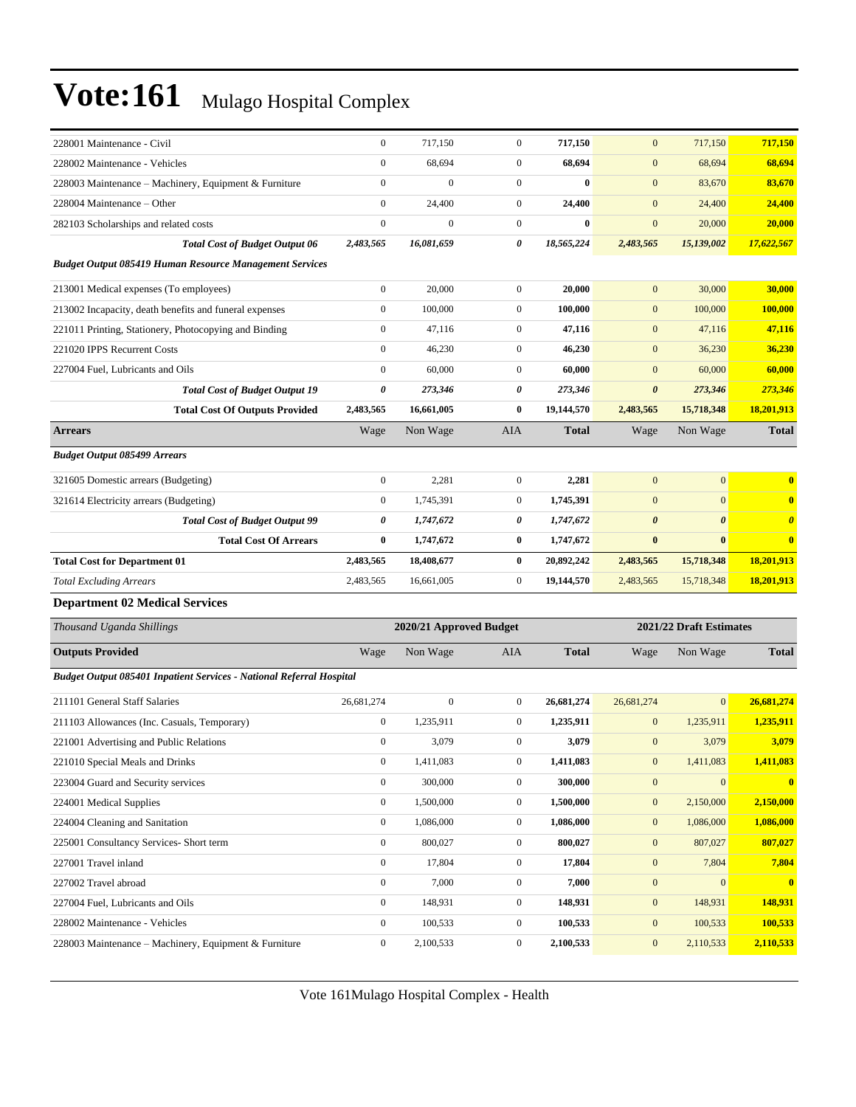| 228001 Maintenance - Civil                                           | $\boldsymbol{0}$ | 717,150                 | $\boldsymbol{0}$ | 717,150      | $\mathbf{0}$          | 717,150                 | 717,150               |
|----------------------------------------------------------------------|------------------|-------------------------|------------------|--------------|-----------------------|-------------------------|-----------------------|
| 228002 Maintenance - Vehicles                                        | $\boldsymbol{0}$ | 68,694                  | $\boldsymbol{0}$ | 68,694       | $\mathbf{0}$          | 68,694                  | 68,694                |
| 228003 Maintenance - Machinery, Equipment & Furniture                | $\boldsymbol{0}$ | $\boldsymbol{0}$        | $\overline{0}$   | $\bf{0}$     | $\mathbf{0}$          | 83,670                  | 83,670                |
| 228004 Maintenance – Other                                           | $\boldsymbol{0}$ | 24,400                  | $\mathbf{0}$     | 24,400       | $\mathbf{0}$          | 24,400                  | 24,400                |
| 282103 Scholarships and related costs                                | $\boldsymbol{0}$ | $\Omega$                | $\mathbf{0}$     | $\bf{0}$     | $\mathbf{0}$          | 20,000                  | 20,000                |
| <b>Total Cost of Budget Output 06</b>                                | 2,483,565        | 16,081,659              | 0                | 18,565,224   | 2,483,565             | 15,139,002              | 17,622,567            |
| <b>Budget Output 085419 Human Resource Management Services</b>       |                  |                         |                  |              |                       |                         |                       |
| 213001 Medical expenses (To employees)                               | $\boldsymbol{0}$ | 20,000                  | $\overline{0}$   | 20,000       | $\mathbf{0}$          | 30,000                  | 30,000                |
| 213002 Incapacity, death benefits and funeral expenses               | $\boldsymbol{0}$ | 100,000                 | $\boldsymbol{0}$ | 100,000      | $\mathbf{0}$          | 100,000                 | 100,000               |
| 221011 Printing, Stationery, Photocopying and Binding                | $\boldsymbol{0}$ | 47,116                  | $\mathbf{0}$     | 47,116       | $\mathbf{0}$          | 47,116                  | 47,116                |
| 221020 IPPS Recurrent Costs                                          | $\boldsymbol{0}$ | 46,230                  | $\mathbf{0}$     | 46,230       | $\mathbf{0}$          | 36,230                  | 36,230                |
| 227004 Fuel, Lubricants and Oils                                     | $\boldsymbol{0}$ | 60,000                  | $\overline{0}$   | 60,000       | $\mathbf{0}$          | 60,000                  | 60,000                |
| <b>Total Cost of Budget Output 19</b>                                | 0                | 273,346                 | 0                | 273,346      | $\boldsymbol{\theta}$ | 273,346                 | 273,346               |
| <b>Total Cost Of Outputs Provided</b>                                | 2,483,565        | 16,661,005              | $\bf{0}$         | 19,144,570   | 2,483,565             | 15,718,348              | 18,201,913            |
| <b>Arrears</b>                                                       | Wage             | Non Wage                | AIA              | <b>Total</b> | Wage                  | Non Wage                | <b>Total</b>          |
| <b>Budget Output 085499 Arrears</b>                                  |                  |                         |                  |              |                       |                         |                       |
| 321605 Domestic arrears (Budgeting)                                  | $\boldsymbol{0}$ | 2,281                   | $\overline{0}$   | 2,281        | $\mathbf{0}$          | $\mathbf{0}$            | $\bf{0}$              |
| 321614 Electricity arrears (Budgeting)                               | $\boldsymbol{0}$ | 1,745,391               | $\mathbf{0}$     | 1,745,391    | $\mathbf{0}$          | $\mathbf{0}$            | $\bf{0}$              |
| <b>Total Cost of Budget Output 99</b>                                | 0                | 1,747,672               | 0                | 1,747,672    | $\boldsymbol{\theta}$ | $\boldsymbol{\theta}$   | $\boldsymbol{\theta}$ |
| <b>Total Cost Of Arrears</b>                                         | $\bf{0}$         | 1,747,672               | $\bf{0}$         | 1,747,672    | $\bf{0}$              | $\bf{0}$                | $\bf{0}$              |
| <b>Total Cost for Department 01</b>                                  | 2,483,565        | 18,408,677              | $\bf{0}$         | 20,892,242   | 2,483,565             | 15,718,348              | 18,201,913            |
| <b>Total Excluding Arrears</b>                                       | 2,483,565        | 16,661,005              | $\mathbf{0}$     | 19,144,570   | 2,483,565             | 15,718,348              | 18,201,913            |
| <b>Department 02 Medical Services</b>                                |                  |                         |                  |              |                       |                         |                       |
| Thousand Uganda Shillings                                            |                  | 2020/21 Approved Budget |                  |              |                       | 2021/22 Draft Estimates |                       |
| <b>Outputs Provided</b>                                              | Wage             | Non Wage                | AIA              | <b>Total</b> | Wage                  | Non Wage                | <b>Total</b>          |
| Budget Output 085401 Inpatient Services - National Referral Hospital |                  |                         |                  |              |                       |                         |                       |
| 211101 General Staff Salaries                                        | 26,681,274       | $\mathbf{0}$            | $\mathbf{0}$     | 26,681,274   | 26,681,274            | $\mathbf{0}$            | 26,681,274            |
| 211103 Allowances (Inc. Casuals, Temporary)                          | $\boldsymbol{0}$ | 1,235,911               | $\mathbf{0}$     | 1,235,911    | $\mathbf{0}$          | 1,235,911               | 1,235,911             |
| 221001 Advertising and Public Relations                              | $\boldsymbol{0}$ | 3,079                   | $\mathbf{0}$     | 3,079        | $\mathbf{0}$          | 3,079                   | 3,079                 |
| 221010 Special Meals and Drinks                                      | $\boldsymbol{0}$ | 1,411,083               | $\boldsymbol{0}$ | 1,411,083    | $\boldsymbol{0}$      | 1,411,083               | 1,411,083             |
| 223004 Guard and Security services                                   | $\boldsymbol{0}$ | 300,000                 | $\boldsymbol{0}$ | 300,000      | $\mathbf{0}$          | $\mathbf{0}$            | $\mathbf{0}$          |
| 224001 Medical Supplies                                              | $\boldsymbol{0}$ | 1,500,000               | $\boldsymbol{0}$ | 1,500,000    | $\boldsymbol{0}$      | 2,150,000               | 2,150,000             |
| 224004 Cleaning and Sanitation                                       | $\boldsymbol{0}$ | 1,086,000               | $\boldsymbol{0}$ | 1,086,000    | $\boldsymbol{0}$      | 1,086,000               | 1,086,000             |
| 225001 Consultancy Services- Short term                              | $\boldsymbol{0}$ | 800,027                 | $\boldsymbol{0}$ | 800,027      | $\boldsymbol{0}$      | 807,027                 | 807,027               |
| 227001 Travel inland                                                 | $\boldsymbol{0}$ | 17,804                  | $\boldsymbol{0}$ | 17,804       | $\boldsymbol{0}$      | 7,804                   | 7,804                 |
| 227002 Travel abroad                                                 | $\boldsymbol{0}$ | 7,000                   | $\mathbf{0}$     | 7,000        | $\boldsymbol{0}$      | $\mathbf{0}$            | $\mathbf{0}$          |
| 227004 Fuel, Lubricants and Oils                                     | $\boldsymbol{0}$ | 148,931                 | $\boldsymbol{0}$ | 148,931      | $\boldsymbol{0}$      | 148,931                 | 148,931               |
| 228002 Maintenance - Vehicles                                        | $\boldsymbol{0}$ | 100,533                 | $\boldsymbol{0}$ | 100,533      | $\boldsymbol{0}$      | 100,533                 | 100,533               |
| 228003 Maintenance - Machinery, Equipment & Furniture                | $\boldsymbol{0}$ | 2,100,533               | $\boldsymbol{0}$ | 2,100,533    | $\boldsymbol{0}$      | 2,110,533               | 2,110,533             |

Vote 161Mulago Hospital Complex - Health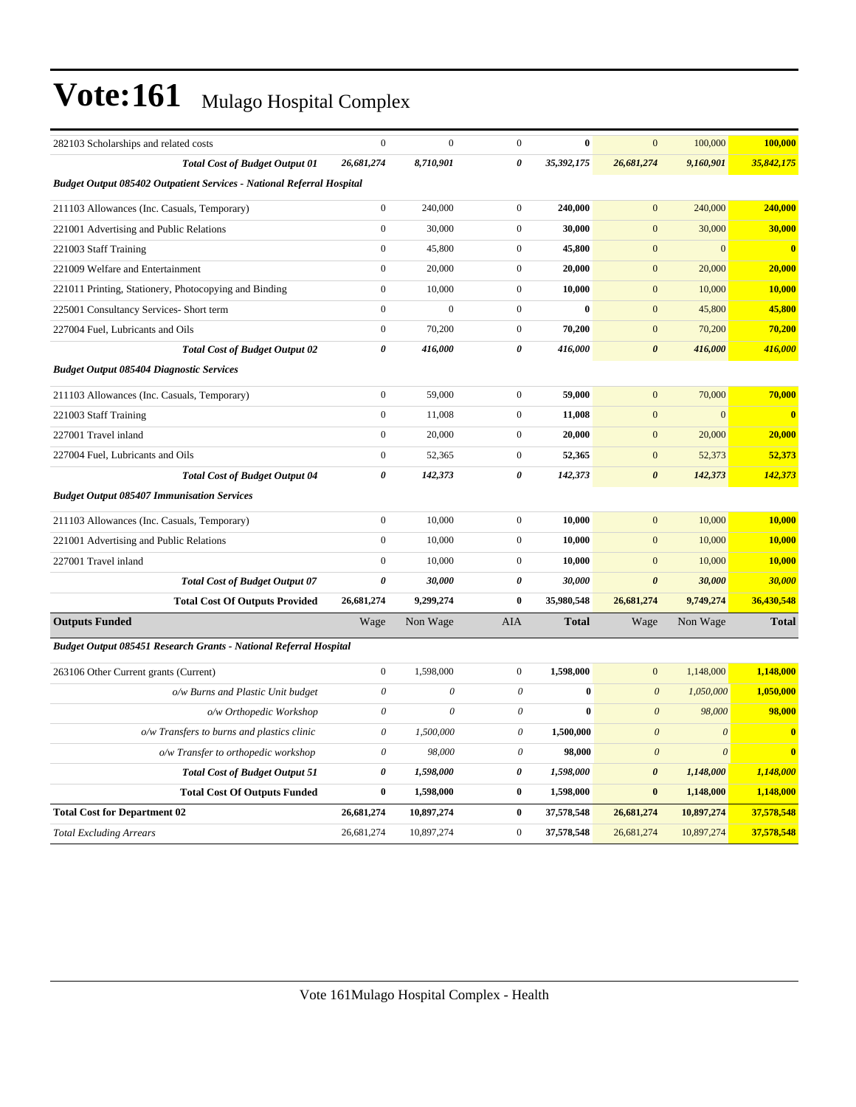| 282103 Scholarships and related costs                                 | $\boldsymbol{0}$          | $\mathbf{0}$   | $\mathbf{0}$          | $\bf{0}$     | $\mathbf{0}$              | 100,000               | 100,000                 |
|-----------------------------------------------------------------------|---------------------------|----------------|-----------------------|--------------|---------------------------|-----------------------|-------------------------|
| <b>Total Cost of Budget Output 01</b>                                 | 26,681,274                | 8,710,901      | 0                     | 35,392,175   | 26,681,274                | 9,160,901             | 35,842,175              |
| Budget Output 085402 Outpatient Services - National Referral Hospital |                           |                |                       |              |                           |                       |                         |
| 211103 Allowances (Inc. Casuals, Temporary)                           | $\boldsymbol{0}$          | 240,000        | $\mathbf{0}$          | 240,000      | $\overline{0}$            | 240,000               | 240,000                 |
| 221001 Advertising and Public Relations                               | $\boldsymbol{0}$          | 30,000         | $\mathbf{0}$          | 30,000       | $\mathbf{0}$              | 30,000                | 30,000                  |
| 221003 Staff Training                                                 | $\mathbf{0}$              | 45,800         | $\mathbf{0}$          | 45,800       | $\mathbf{0}$              | $\overline{0}$        | $\overline{\mathbf{0}}$ |
| 221009 Welfare and Entertainment                                      | $\boldsymbol{0}$          | 20,000         | $\mathbf{0}$          | 20,000       | $\mathbf{0}$              | 20,000                | 20,000                  |
| 221011 Printing, Stationery, Photocopying and Binding                 | $\boldsymbol{0}$          | 10,000         | $\mathbf{0}$          | 10,000       | $\boldsymbol{0}$          | 10,000                | 10,000                  |
| 225001 Consultancy Services- Short term                               | $\mathbf{0}$              | $\overline{0}$ | $\mathbf{0}$          | $\bf{0}$     | $\mathbf{0}$              | 45,800                | 45,800                  |
| 227004 Fuel, Lubricants and Oils                                      | $\boldsymbol{0}$          | 70,200         | $\mathbf{0}$          | 70,200       | $\boldsymbol{0}$          | 70,200                | 70,200                  |
| <b>Total Cost of Budget Output 02</b>                                 | $\boldsymbol{\theta}$     | 416,000        | $\theta$              | 416,000      | $\boldsymbol{\theta}$     | 416,000               | 416,000                 |
| <b>Budget Output 085404 Diagnostic Services</b>                       |                           |                |                       |              |                           |                       |                         |
| 211103 Allowances (Inc. Casuals, Temporary)                           | $\boldsymbol{0}$          | 59,000         | $\mathbf{0}$          | 59,000       | $\mathbf{0}$              | 70,000                | 70,000                  |
| 221003 Staff Training                                                 | $\boldsymbol{0}$          | 11,008         | $\mathbf{0}$          | 11,008       | $\boldsymbol{0}$          | $\mathbf{0}$          | $\overline{\mathbf{0}}$ |
| 227001 Travel inland                                                  | $\mathbf{0}$              | 20,000         | $\boldsymbol{0}$      | 20,000       | $\mathbf{0}$              | 20,000                | 20,000                  |
| 227004 Fuel, Lubricants and Oils                                      | $\boldsymbol{0}$          | 52,365         | $\mathbf{0}$          | 52,365       | $\boldsymbol{0}$          | 52,373                | 52,373                  |
| <b>Total Cost of Budget Output 04</b>                                 | $\boldsymbol{\theta}$     | 142,373        | $\boldsymbol{\theta}$ | 142,373      | $\boldsymbol{\theta}$     | 142,373               | 142,373                 |
| <b>Budget Output 085407 Immunisation Services</b>                     |                           |                |                       |              |                           |                       |                         |
| 211103 Allowances (Inc. Casuals, Temporary)                           | $\boldsymbol{0}$          | 10,000         | $\mathbf{0}$          | 10,000       | $\mathbf{0}$              | 10,000                | 10,000                  |
| 221001 Advertising and Public Relations                               | $\boldsymbol{0}$          | 10,000         | $\mathbf{0}$          | 10,000       | $\mathbf{0}$              | 10,000                | 10,000                  |
| 227001 Travel inland                                                  | $\mathbf{0}$              | 10,000         | $\mathbf{0}$          | 10,000       | $\mathbf{0}$              | 10,000                | 10,000                  |
| <b>Total Cost of Budget Output 07</b>                                 | $\boldsymbol{\theta}$     | 30,000         | $\boldsymbol{\theta}$ | 30,000       | $\boldsymbol{\theta}$     | 30,000                | 30,000                  |
| <b>Total Cost Of Outputs Provided</b>                                 | 26,681,274                | 9,299,274      | $\bf{0}$              | 35,980,548   | 26,681,274                | 9,749,274             | 36,430,548              |
| <b>Outputs Funded</b>                                                 | Wage                      | Non Wage       | <b>AIA</b>            | <b>Total</b> | Wage                      | Non Wage              | <b>Total</b>            |
| Budget Output 085451 Research Grants - National Referral Hospital     |                           |                |                       |              |                           |                       |                         |
| 263106 Other Current grants (Current)                                 | $\mathbf{0}$              | 1,598,000      | $\mathbf{0}$          | 1,598,000    | $\mathbf{0}$              | 1,148,000             | 1,148,000               |
| o/w Burns and Plastic Unit budget                                     | $\theta$                  | $\theta$       | $\theta$              | $\bf{0}$     | $\boldsymbol{\mathit{0}}$ | 1,050,000             | 1,050,000               |
| o/w Orthopedic Workshop                                               | $\theta$                  | $\theta$       | $\mathcal O$          | $\bf{0}$     | $\boldsymbol{\theta}$     | 98,000                | 98,000                  |
| o/w Transfers to burns and plastics clinic                            | $\boldsymbol{\mathit{0}}$ | 1,500,000      | $\theta$              | 1,500,000    | $\boldsymbol{\theta}$     | $\boldsymbol{\theta}$ | $\mathbf{0}$            |
| o/w Transfer to orthopedic workshop                                   | $\theta$                  | 98,000         | $\theta$              | 98,000       | $\theta$                  | $\theta$              | $\overline{\mathbf{0}}$ |
| <b>Total Cost of Budget Output 51</b>                                 | $\boldsymbol{\theta}$     | 1,598,000      | 0                     | 1,598,000    | $\boldsymbol{\theta}$     | 1,148,000             | 1,148,000               |
| <b>Total Cost Of Outputs Funded</b>                                   | $\bf{0}$                  | 1,598,000      | $\bf{0}$              | 1,598,000    | $\bf{0}$                  | 1,148,000             | 1,148,000               |
| <b>Total Cost for Department 02</b>                                   | 26,681,274                | 10,897,274     | $\bf{0}$              | 37,578,548   | 26,681,274                | 10,897,274            | 37,578,548              |
| <b>Total Excluding Arrears</b>                                        | 26,681,274                | 10,897,274     | $\mathbf{0}$          | 37,578,548   | 26,681,274                | 10,897,274            | 37,578,548              |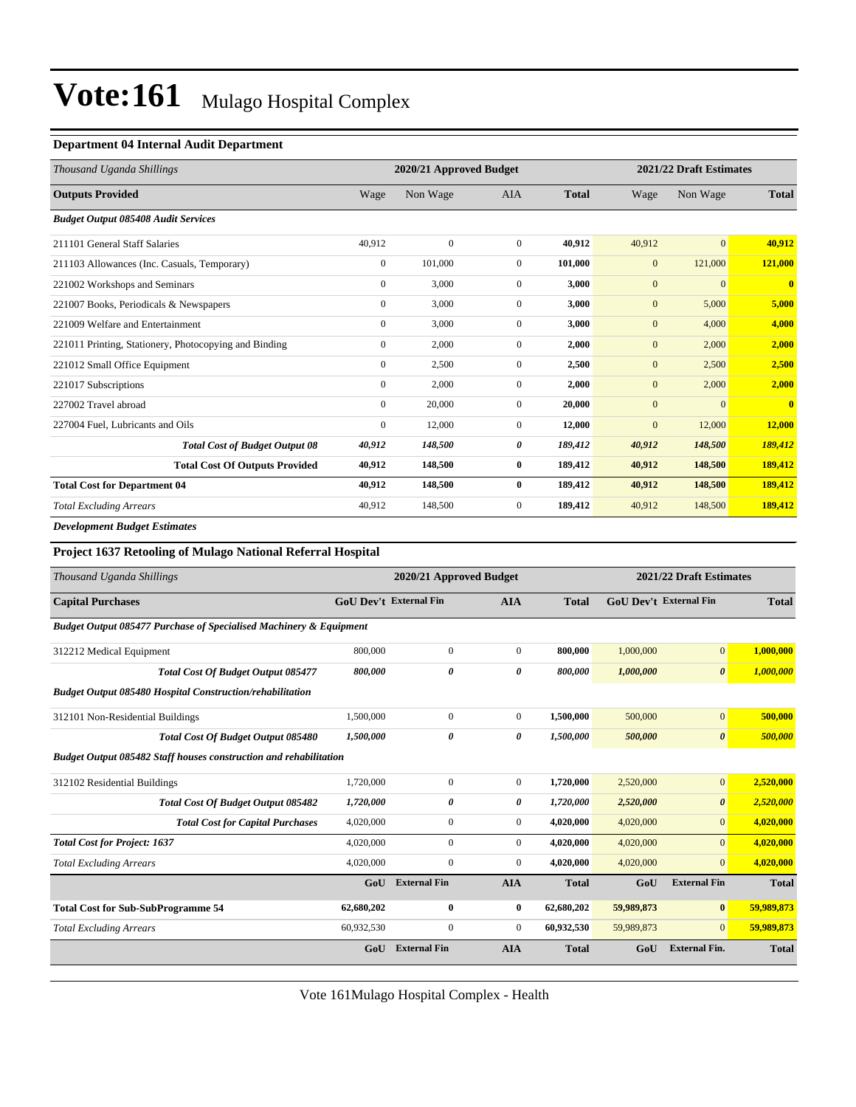#### **Department 04 Internal Audit Department**

| Thousand Uganda Shillings                              |                | 2020/21 Approved Budget |              |              | 2021/22 Draft Estimates |                |                         |
|--------------------------------------------------------|----------------|-------------------------|--------------|--------------|-------------------------|----------------|-------------------------|
| <b>Outputs Provided</b>                                | Wage           | Non Wage                | <b>AIA</b>   | <b>Total</b> | Wage                    | Non Wage       | <b>Total</b>            |
| <b>Budget Output 085408 Audit Services</b>             |                |                         |              |              |                         |                |                         |
| 211101 General Staff Salaries                          | 40,912         | $\mathbf{0}$            | $\mathbf{0}$ | 40,912       | 40,912                  | $\overline{0}$ | 40,912                  |
| 211103 Allowances (Inc. Casuals, Temporary)            | $\overline{0}$ | 101,000                 | $\mathbf{0}$ | 101,000      | $\mathbf{0}$            | 121,000        | 121,000                 |
| 221002 Workshops and Seminars                          | $\overline{0}$ | 3,000                   | $\Omega$     | 3,000        | $\mathbf{0}$            | $\mathbf{0}$   | $\mathbf{0}$            |
| 221007 Books, Periodicals & Newspapers                 | $\overline{0}$ | 3,000                   | $\mathbf{0}$ | 3,000        | $\mathbf{0}$            | 5,000          | 5,000                   |
| 221009 Welfare and Entertainment                       | $\overline{0}$ | 3,000                   | $\mathbf{0}$ | 3,000        | $\mathbf{0}$            | 4,000          | 4,000                   |
| 221011 Printing, Stationery, Photocopying and Binding  | $\mathbf{0}$   | 2,000                   | $\mathbf{0}$ | 2,000        | $\mathbf{0}$            | 2,000          | 2,000                   |
| 221012 Small Office Equipment                          | $\overline{0}$ | 2,500                   | $\mathbf{0}$ | 2,500        | $\mathbf{0}$            | 2,500          | 2,500                   |
| 221017 Subscriptions                                   | $\overline{0}$ | 2,000                   | $\mathbf{0}$ | 2,000        | $\mathbf{0}$            | 2,000          | 2,000                   |
| 227002 Travel abroad                                   | $\overline{0}$ | 20,000                  | $\mathbf{0}$ | 20,000       | $\mathbf{0}$            | $\Omega$       | $\overline{\mathbf{0}}$ |
| 227004 Fuel, Lubricants and Oils                       | $\mathbf{0}$   | 12,000                  | $\mathbf{0}$ | 12,000       | $\mathbf{0}$            | 12,000         | 12,000                  |
| <b>Total Cost of Budget Output 08</b>                  | 40,912         | 148,500                 | 0            | 189,412      | 40,912                  | 148,500        | 189,412                 |
| <b>Total Cost Of Outputs Provided</b>                  | 40,912         | 148,500                 | $\bf{0}$     | 189,412      | 40,912                  | 148,500        | 189,412                 |
| <b>Total Cost for Department 04</b>                    | 40,912         | 148,500                 | $\bf{0}$     | 189,412      | 40,912                  | 148,500        | 189,412                 |
| <b>Total Excluding Arrears</b>                         | 40,912         | 148,500                 | $\mathbf{0}$ | 189,412      | 40,912                  | 148,500        | 189,412                 |
| <b>Print Print Print Print Print Print Print Print</b> |                |                         |              |              |                         |                |                         |

*Development Budget Estimates*

#### **Project 1637 Retooling of Mulago National Referral Hospital**

| Thousand Uganda Shillings                                                     |                               | 2020/21 Approved Budget |                  |              |            | 2021/22 Draft Estimates       |              |
|-------------------------------------------------------------------------------|-------------------------------|-------------------------|------------------|--------------|------------|-------------------------------|--------------|
| <b>Capital Purchases</b>                                                      | <b>GoU Dev't External Fin</b> |                         | <b>AIA</b>       | <b>Total</b> |            | <b>GoU Dev't External Fin</b> | <b>Total</b> |
| <b>Budget Output 085477 Purchase of Specialised Machinery &amp; Equipment</b> |                               |                         |                  |              |            |                               |              |
| 312212 Medical Equipment                                                      | 800,000                       | $\mathbf{0}$            | $\mathbf{0}$     | 800,000      | 1,000,000  | $\overline{0}$                | 1,000,000    |
| <b>Total Cost Of Budget Output 085477</b>                                     | 800,000                       | 0                       | 0                | 800,000      | 1,000,000  | $\boldsymbol{\theta}$         | 1,000,000    |
| <b>Budget Output 085480 Hospital Construction/rehabilitation</b>              |                               |                         |                  |              |            |                               |              |
| 312101 Non-Residential Buildings                                              | 1,500,000                     | $\boldsymbol{0}$        | $\boldsymbol{0}$ | 1,500,000    | 500,000    | $\overline{0}$                | 500,000      |
| <b>Total Cost Of Budget Output 085480</b>                                     | 1,500,000                     | 0                       | 0                | 1,500,000    | 500,000    | $\boldsymbol{\theta}$         | 500,000      |
| Budget Output 085482 Staff houses construction and rehabilitation             |                               |                         |                  |              |            |                               |              |
| 312102 Residential Buildings                                                  | 1,720,000                     | $\boldsymbol{0}$        | $\boldsymbol{0}$ | 1,720,000    | 2,520,000  | $\vert 0 \vert$               | 2,520,000    |
| <b>Total Cost Of Budget Output 085482</b>                                     | 1,720,000                     | 0                       | 0                | 1,720,000    | 2,520,000  | $\boldsymbol{\theta}$         | 2,520,000    |
| <b>Total Cost for Capital Purchases</b>                                       | 4,020,000                     | $\overline{0}$          | $\boldsymbol{0}$ | 4,020,000    | 4,020,000  | $\overline{0}$                | 4,020,000    |
| <b>Total Cost for Project: 1637</b>                                           | 4,020,000                     | $\overline{0}$          | $\overline{0}$   | 4,020,000    | 4,020,000  | $\overline{0}$                | 4,020,000    |
| <b>Total Excluding Arrears</b>                                                | 4,020,000                     | $\mathbf{0}$            | $\mathbf{0}$     | 4,020,000    | 4,020,000  | $\overline{0}$                | 4,020,000    |
|                                                                               | GoU                           | <b>External Fin</b>     | <b>AIA</b>       | <b>Total</b> | GoU        | <b>External Fin</b>           | <b>Total</b> |
| <b>Total Cost for Sub-SubProgramme 54</b>                                     | 62,680,202                    | $\bf{0}$                | $\bf{0}$         | 62,680,202   | 59,989,873 | $\bf{0}$                      | 59,989,873   |
| <b>Total Excluding Arrears</b>                                                | 60,932,530                    | $\mathbf{0}$            | $\overline{0}$   | 60,932,530   | 59,989,873 | $\overline{0}$                | 59,989,873   |
|                                                                               | GoU                           | <b>External Fin</b>     | <b>AIA</b>       | <b>Total</b> | GoU        | <b>External Fin.</b>          | <b>Total</b> |

Vote 161Mulago Hospital Complex - Health